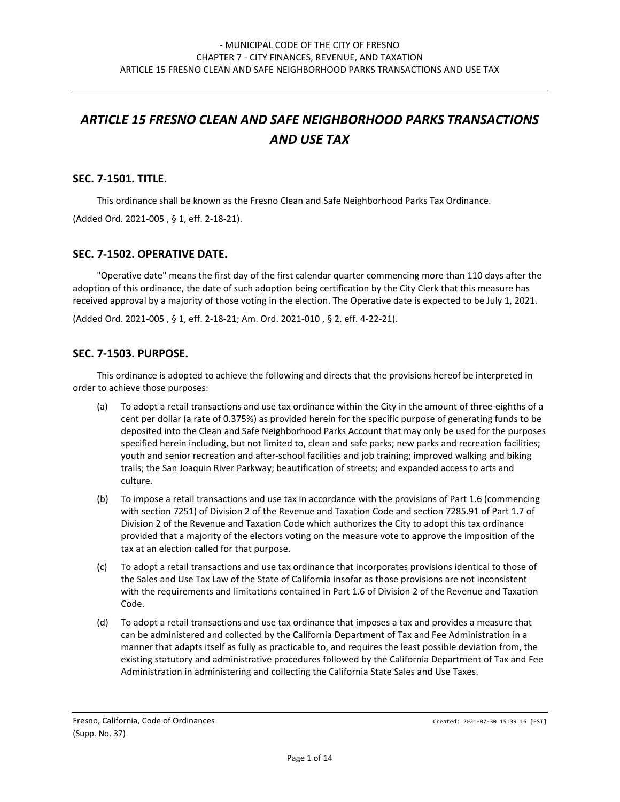# *ARTICLE 15 FRESNO CLEAN AND SAFE NEIGHBORHOOD PARKS TRANSACTIONS AND USE TAX*

#### **SEC. 7-1501. TITLE.**

This ordinance shall be known as the Fresno Clean and Safe Neighborhood Parks Tax Ordinance.

(Added Ord. 2021-005 , § 1, eff. 2-18-21).

#### **SEC. 7-1502. OPERATIVE DATE.**

"Operative date" means the first day of the first calendar quarter commencing more than 110 days after the adoption of this ordinance, the date of such adoption being certification by the City Clerk that this measure has received approval by a majority of those voting in the election. The Operative date is expected to be July 1, 2021.

(Added Ord. 2021-005 , § 1, eff. 2-18-21; Am. Ord. 2021-010 , § 2, eff. 4-22-21).

#### **SEC. 7-1503. PURPOSE.**

This ordinance is adopted to achieve the following and directs that the provisions hereof be interpreted in order to achieve those purposes:

- (a) To adopt a retail transactions and use tax ordinance within the City in the amount of three-eighths of a cent per dollar (a rate of 0.375%) as provided herein for the specific purpose of generating funds to be deposited into the Clean and Safe Neighborhood Parks Account that may only be used for the purposes specified herein including, but not limited to, clean and safe parks; new parks and recreation facilities; youth and senior recreation and after-school facilities and job training; improved walking and biking trails; the San Joaquin River Parkway; beautification of streets; and expanded access to arts and culture.
- (b) To impose a retail transactions and use tax in accordance with the provisions of Part 1.6 (commencing with section 7251) of Division 2 of the Revenue and Taxation Code and section 7285.91 of Part 1.7 of Division 2 of the Revenue and Taxation Code which authorizes the City to adopt this tax ordinance provided that a majority of the electors voting on the measure vote to approve the imposition of the tax at an election called for that purpose.
- (c) To adopt a retail transactions and use tax ordinance that incorporates provisions identical to those of the Sales and Use Tax Law of the State of California insofar as those provisions are not inconsistent with the requirements and limitations contained in Part 1.6 of Division 2 of the Revenue and Taxation Code.
- (d) To adopt a retail transactions and use tax ordinance that imposes a tax and provides a measure that can be administered and collected by the California Department of Tax and Fee Administration in a manner that adapts itself as fully as practicable to, and requires the least possible deviation from, the existing statutory and administrative procedures followed by the California Department of Tax and Fee Administration in administering and collecting the California State Sales and Use Taxes.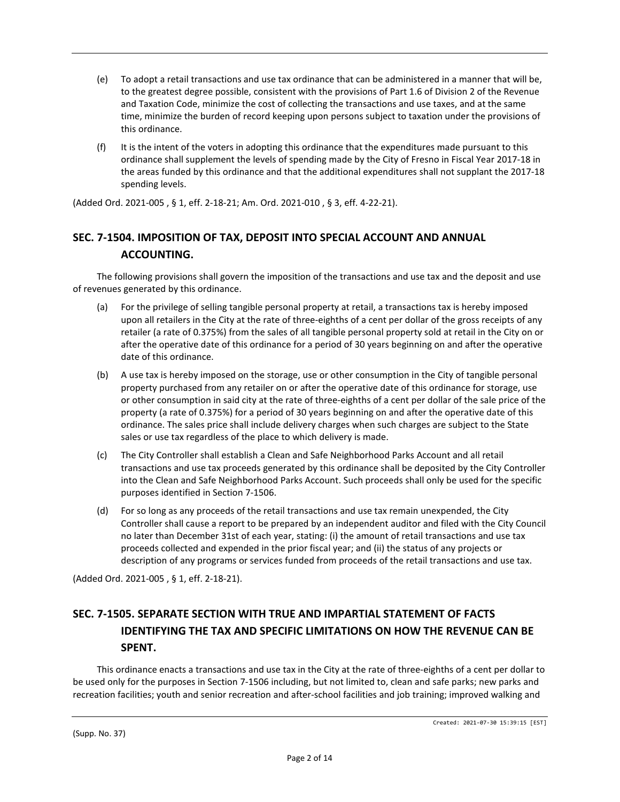- (e) To adopt a retail transactions and use tax ordinance that can be administered in a manner that will be, to the greatest degree possible, consistent with the provisions of Part 1.6 of Division 2 of the Revenue and Taxation Code, minimize the cost of collecting the transactions and use taxes, and at the same time, minimize the burden of record keeping upon persons subject to taxation under the provisions of this ordinance.
- (f) It is the intent of the voters in adopting this ordinance that the expenditures made pursuant to this ordinance shall supplement the levels of spending made by the City of Fresno in Fiscal Year 2017-18 in the areas funded by this ordinance and that the additional expenditures shall not supplant the 2017-18 spending levels.

(Added Ord. 2021-005 , § 1, eff. 2-18-21; Am. Ord. 2021-010 , § 3, eff. 4-22-21).

## **SEC. 7-1504. IMPOSITION OF TAX, DEPOSIT INTO SPECIAL ACCOUNT AND ANNUAL ACCOUNTING.**

The following provisions shall govern the imposition of the transactions and use tax and the deposit and use of revenues generated by this ordinance.

- (a) For the privilege of selling tangible personal property at retail, a transactions tax is hereby imposed upon all retailers in the City at the rate of three-eighths of a cent per dollar of the gross receipts of any retailer (a rate of 0.375%) from the sales of all tangible personal property sold at retail in the City on or after the operative date of this ordinance for a period of 30 years beginning on and after the operative date of this ordinance.
- (b) A use tax is hereby imposed on the storage, use or other consumption in the City of tangible personal property purchased from any retailer on or after the operative date of this ordinance for storage, use or other consumption in said city at the rate of three-eighths of a cent per dollar of the sale price of the property (a rate of 0.375%) for a period of 30 years beginning on and after the operative date of this ordinance. The sales price shall include delivery charges when such charges are subject to the State sales or use tax regardless of the place to which delivery is made.
- (c) The City Controller shall establish a Clean and Safe Neighborhood Parks Account and all retail transactions and use tax proceeds generated by this ordinance shall be deposited by the City Controller into the Clean and Safe Neighborhood Parks Account. Such proceeds shall only be used for the specific purposes identified in Section 7-1506.
- (d) For so long as any proceeds of the retail transactions and use tax remain unexpended, the City Controller shall cause a report to be prepared by an independent auditor and filed with the City Council no later than December 31st of each year, stating: (i) the amount of retail transactions and use tax proceeds collected and expended in the prior fiscal year; and (ii) the status of any projects or description of any programs or services funded from proceeds of the retail transactions and use tax.

(Added Ord. 2021-005 , § 1, eff. 2-18-21).

## **SEC. 7-1505. SEPARATE SECTION WITH TRUE AND IMPARTIAL STATEMENT OF FACTS IDENTIFYING THE TAX AND SPECIFIC LIMITATIONS ON HOW THE REVENUE CAN BE SPENT.**

This ordinance enacts a transactions and use tax in the City at the rate of three-eighths of a cent per dollar to be used only for the purposes in Section 7-1506 including, but not limited to, clean and safe parks; new parks and recreation facilities; youth and senior recreation and after-school facilities and job training; improved walking and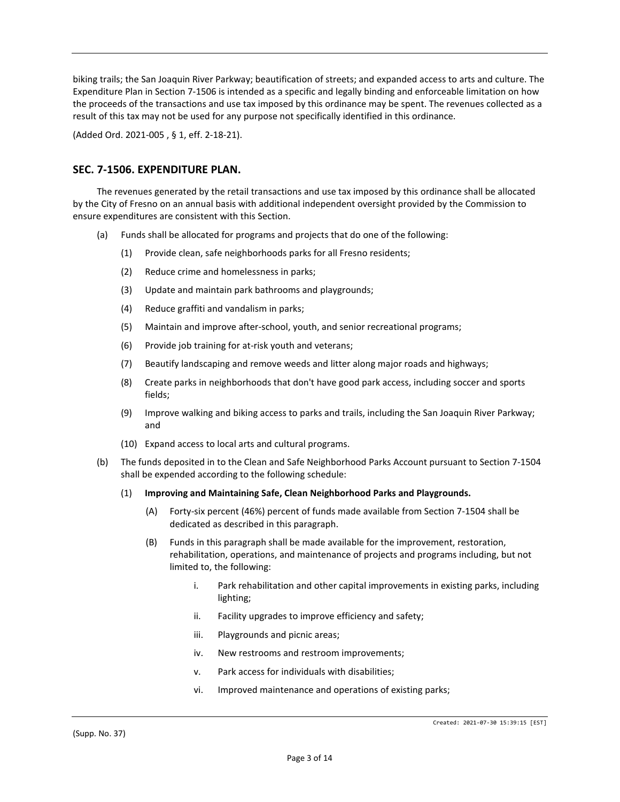biking trails; the San Joaquin River Parkway; beautification of streets; and expanded access to arts and culture. The Expenditure Plan in Section 7-1506 is intended as a specific and legally binding and enforceable limitation on how the proceeds of the transactions and use tax imposed by this ordinance may be spent. The revenues collected as a result of this tax may not be used for any purpose not specifically identified in this ordinance.

(Added Ord. 2021-005 , § 1, eff. 2-18-21).

#### **SEC. 7-1506. EXPENDITURE PLAN.**

The revenues generated by the retail transactions and use tax imposed by this ordinance shall be allocated by the City of Fresno on an annual basis with additional independent oversight provided by the Commission to ensure expenditures are consistent with this Section.

- (a) Funds shall be allocated for programs and projects that do one of the following:
	- (1) Provide clean, safe neighborhoods parks for all Fresno residents;
	- (2) Reduce crime and homelessness in parks;
	- (3) Update and maintain park bathrooms and playgrounds;
	- (4) Reduce graffiti and vandalism in parks;
	- (5) Maintain and improve after-school, youth, and senior recreational programs;
	- (6) Provide job training for at-risk youth and veterans;
	- (7) Beautify landscaping and remove weeds and litter along major roads and highways;
	- (8) Create parks in neighborhoods that don't have good park access, including soccer and sports fields;
	- (9) Improve walking and biking access to parks and trails, including the San Joaquin River Parkway; and
	- (10) Expand access to local arts and cultural programs.
- (b) The funds deposited in to the Clean and Safe Neighborhood Parks Account pursuant to Section 7-1504 shall be expended according to the following schedule:
	- (1) **Improving and Maintaining Safe, Clean Neighborhood Parks and Playgrounds.**
		- (A) Forty-six percent (46%) percent of funds made available from Section 7-1504 shall be dedicated as described in this paragraph.
		- (B) Funds in this paragraph shall be made available for the improvement, restoration, rehabilitation, operations, and maintenance of projects and programs including, but not limited to, the following:
			- i. Park rehabilitation and other capital improvements in existing parks, including lighting;
			- ii. Facility upgrades to improve efficiency and safety;
			- iii. Playgrounds and picnic areas;
			- iv. New restrooms and restroom improvements;
			- v. Park access for individuals with disabilities;
			- vi. Improved maintenance and operations of existing parks;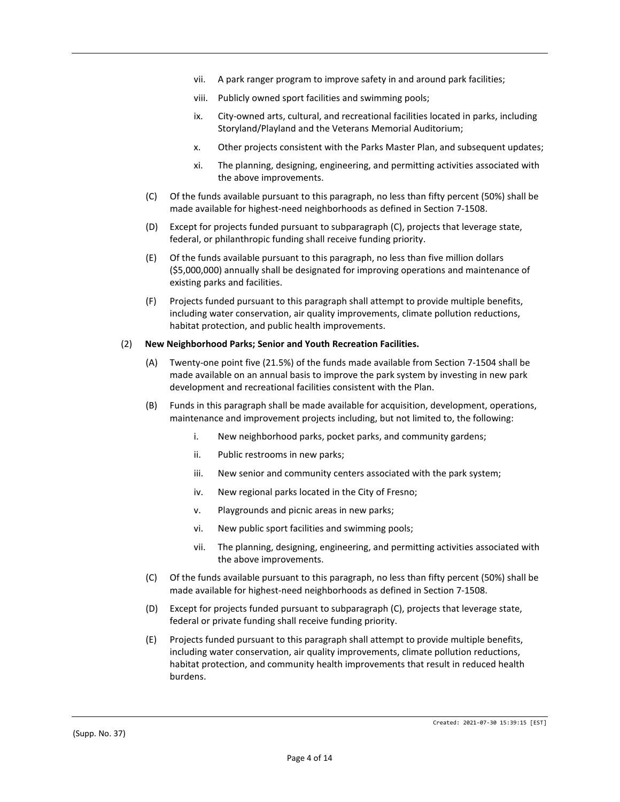- vii. A park ranger program to improve safety in and around park facilities;
- viii. Publicly owned sport facilities and swimming pools;
- ix. City-owned arts, cultural, and recreational facilities located in parks, including Storyland/Playland and the Veterans Memorial Auditorium;
- x. Other projects consistent with the Parks Master Plan, and subsequent updates;
- xi. The planning, designing, engineering, and permitting activities associated with the above improvements.
- (C) Of the funds available pursuant to this paragraph, no less than fifty percent (50%) shall be made available for highest-need neighborhoods as defined in Section 7-1508.
- (D) Except for projects funded pursuant to subparagraph (C), projects that leverage state, federal, or philanthropic funding shall receive funding priority.
- (E) Of the funds available pursuant to this paragraph, no less than five million dollars (\$5,000,000) annually shall be designated for improving operations and maintenance of existing parks and facilities.
- (F) Projects funded pursuant to this paragraph shall attempt to provide multiple benefits, including water conservation, air quality improvements, climate pollution reductions, habitat protection, and public health improvements.

#### (2) **New Neighborhood Parks; Senior and Youth Recreation Facilities.**

- (A) Twenty-one point five (21.5%) of the funds made available from Section 7-1504 shall be made available on an annual basis to improve the park system by investing in new park development and recreational facilities consistent with the Plan.
- (B) Funds in this paragraph shall be made available for acquisition, development, operations, maintenance and improvement projects including, but not limited to, the following:
	- i. New neighborhood parks, pocket parks, and community gardens;
	- ii. Public restrooms in new parks;
	- iii. New senior and community centers associated with the park system;
	- iv. New regional parks located in the City of Fresno;
	- v. Playgrounds and picnic areas in new parks;
	- vi. New public sport facilities and swimming pools;
	- vii. The planning, designing, engineering, and permitting activities associated with the above improvements.
- (C) Of the funds available pursuant to this paragraph, no less than fifty percent (50%) shall be made available for highest-need neighborhoods as defined in Section 7-1508.
- (D) Except for projects funded pursuant to subparagraph (C), projects that leverage state, federal or private funding shall receive funding priority.
- (E) Projects funded pursuant to this paragraph shall attempt to provide multiple benefits, including water conservation, air quality improvements, climate pollution reductions, habitat protection, and community health improvements that result in reduced health burdens.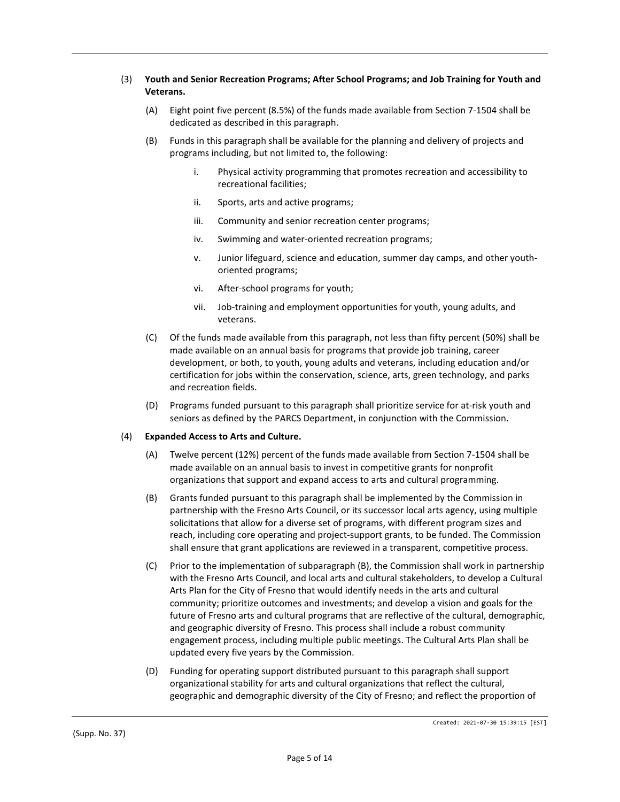- (3) **Youth and Senior Recreation Programs; After School Programs; and Job Training for Youth and Veterans.**
	- (A) Eight point five percent (8.5%) of the funds made available from Section 7-1504 shall be dedicated as described in this paragraph.
	- (B) Funds in this paragraph shall be available for the planning and delivery of projects and programs including, but not limited to, the following:
		- i. Physical activity programming that promotes recreation and accessibility to recreational facilities;
		- ii. Sports, arts and active programs;
		- iii. Community and senior recreation center programs;
		- iv. Swimming and water-oriented recreation programs;
		- v. Junior lifeguard, science and education, summer day camps, and other youthoriented programs;
		- vi. After-school programs for youth;
		- vii. Job-training and employment opportunities for youth, young adults, and veterans.
	- (C) Of the funds made available from this paragraph, not less than fifty percent (50%) shall be made available on an annual basis for programs that provide job training, career development, or both, to youth, young adults and veterans, including education and/or certification for jobs within the conservation, science, arts, green technology, and parks and recreation fields.
	- (D) Programs funded pursuant to this paragraph shall prioritize service for at-risk youth and seniors as defined by the PARCS Department, in conjunction with the Commission.

#### (4) **Expanded Access to Arts and Culture.**

- (A) Twelve percent (12%) percent of the funds made available from Section 7-1504 shall be made available on an annual basis to invest in competitive grants for nonprofit organizations that support and expand access to arts and cultural programming.
- (B) Grants funded pursuant to this paragraph shall be implemented by the Commission in partnership with the Fresno Arts Council, or its successor local arts agency, using multiple solicitations that allow for a diverse set of programs, with different program sizes and reach, including core operating and project-support grants, to be funded. The Commission shall ensure that grant applications are reviewed in a transparent, competitive process.
- (C) Prior to the implementation of subparagraph (B), the Commission shall work in partnership with the Fresno Arts Council, and local arts and cultural stakeholders, to develop a Cultural Arts Plan for the City of Fresno that would identify needs in the arts and cultural community; prioritize outcomes and investments; and develop a vision and goals for the future of Fresno arts and cultural programs that are reflective of the cultural, demographic, and geographic diversity of Fresno. This process shall include a robust community engagement process, including multiple public meetings. The Cultural Arts Plan shall be updated every five years by the Commission.
- (D) Funding for operating support distributed pursuant to this paragraph shall support organizational stability for arts and cultural organizations that reflect the cultural, geographic and demographic diversity of the City of Fresno; and reflect the proportion of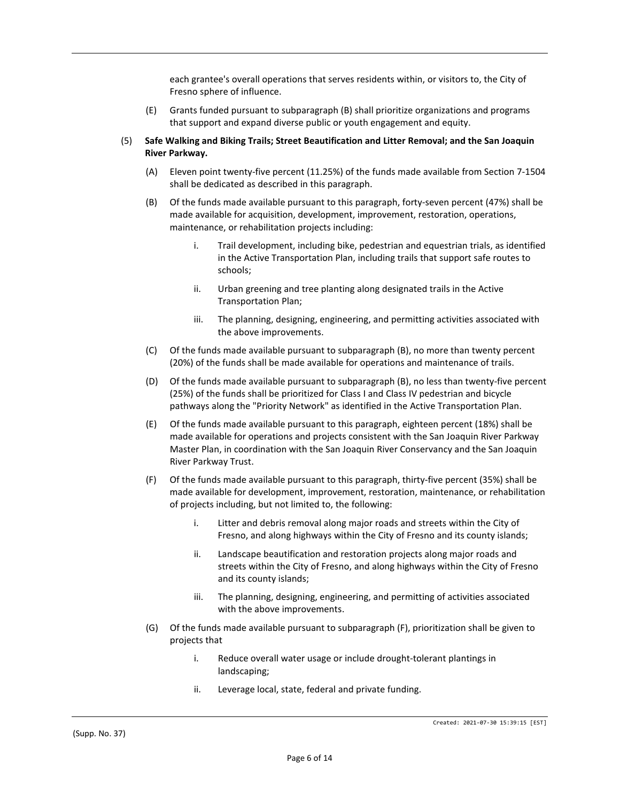each grantee's overall operations that serves residents within, or visitors to, the City of Fresno sphere of influence.

- (E) Grants funded pursuant to subparagraph (B) shall prioritize organizations and programs that support and expand diverse public or youth engagement and equity.
- (5) **Safe Walking and Biking Trails; Street Beautification and Litter Removal; and the San Joaquin River Parkway.**
	- (A) Eleven point twenty-five percent (11.25%) of the funds made available from Section 7-1504 shall be dedicated as described in this paragraph.
	- (B) Of the funds made available pursuant to this paragraph, forty-seven percent (47%) shall be made available for acquisition, development, improvement, restoration, operations, maintenance, or rehabilitation projects including:
		- i. Trail development, including bike, pedestrian and equestrian trials, as identified in the Active Transportation Plan, including trails that support safe routes to schools;
		- ii. Urban greening and tree planting along designated trails in the Active Transportation Plan;
		- iii. The planning, designing, engineering, and permitting activities associated with the above improvements.
	- (C) Of the funds made available pursuant to subparagraph (B), no more than twenty percent (20%) of the funds shall be made available for operations and maintenance of trails.
	- (D) Of the funds made available pursuant to subparagraph (B), no less than twenty-five percent (25%) of the funds shall be prioritized for Class I and Class IV pedestrian and bicycle pathways along the "Priority Network" as identified in the Active Transportation Plan.
	- (E) Of the funds made available pursuant to this paragraph, eighteen percent (18%) shall be made available for operations and projects consistent with the San Joaquin River Parkway Master Plan, in coordination with the San Joaquin River Conservancy and the San Joaquin River Parkway Trust.
	- (F) Of the funds made available pursuant to this paragraph, thirty-five percent (35%) shall be made available for development, improvement, restoration, maintenance, or rehabilitation of projects including, but not limited to, the following:
		- i. Litter and debris removal along major roads and streets within the City of Fresno, and along highways within the City of Fresno and its county islands;
		- ii. Landscape beautification and restoration projects along major roads and streets within the City of Fresno, and along highways within the City of Fresno and its county islands;
		- iii. The planning, designing, engineering, and permitting of activities associated with the above improvements.
	- (G) Of the funds made available pursuant to subparagraph (F), prioritization shall be given to projects that
		- i. Reduce overall water usage or include drought-tolerant plantings in landscaping;
		- ii. Leverage local, state, federal and private funding.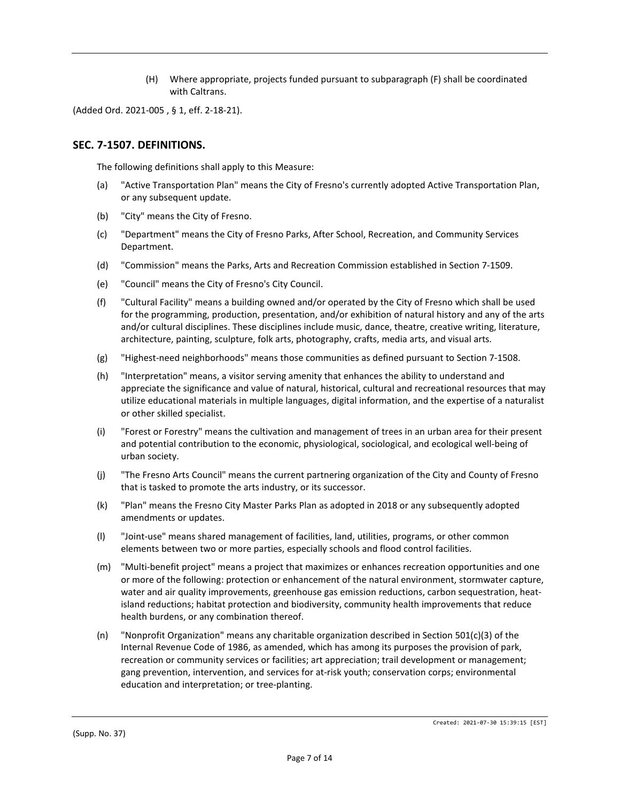(H) Where appropriate, projects funded pursuant to subparagraph (F) shall be coordinated with Caltrans.

(Added Ord. 2021-005 , § 1, eff. 2-18-21).

#### **SEC. 7-1507. DEFINITIONS.**

The following definitions shall apply to this Measure:

- (a) "Active Transportation Plan" means the City of Fresno's currently adopted Active Transportation Plan, or any subsequent update.
- (b) "City" means the City of Fresno.
- (c) "Department" means the City of Fresno Parks, After School, Recreation, and Community Services Department.
- (d) "Commission" means the Parks, Arts and Recreation Commission established in Section 7-1509.
- (e) "Council" means the City of Fresno's City Council.
- (f) "Cultural Facility" means a building owned and/or operated by the City of Fresno which shall be used for the programming, production, presentation, and/or exhibition of natural history and any of the arts and/or cultural disciplines. These disciplines include music, dance, theatre, creative writing, literature, architecture, painting, sculpture, folk arts, photography, crafts, media arts, and visual arts.
- (g) "Highest-need neighborhoods" means those communities as defined pursuant to Section 7-1508.
- (h) "Interpretation" means, a visitor serving amenity that enhances the ability to understand and appreciate the significance and value of natural, historical, cultural and recreational resources that may utilize educational materials in multiple languages, digital information, and the expertise of a naturalist or other skilled specialist.
- (i) "Forest or Forestry" means the cultivation and management of trees in an urban area for their present and potential contribution to the economic, physiological, sociological, and ecological well-being of urban society.
- (j) "The Fresno Arts Council" means the current partnering organization of the City and County of Fresno that is tasked to promote the arts industry, or its successor.
- (k) "Plan" means the Fresno City Master Parks Plan as adopted in 2018 or any subsequently adopted amendments or updates.
- (l) "Joint-use" means shared management of facilities, land, utilities, programs, or other common elements between two or more parties, especially schools and flood control facilities.
- (m) "Multi-benefit project" means a project that maximizes or enhances recreation opportunities and one or more of the following: protection or enhancement of the natural environment, stormwater capture, water and air quality improvements, greenhouse gas emission reductions, carbon sequestration, heatisland reductions; habitat protection and biodiversity, community health improvements that reduce health burdens, or any combination thereof.
- (n) "Nonprofit Organization" means any charitable organization described in Section 501(c)(3) of the Internal Revenue Code of 1986, as amended, which has among its purposes the provision of park, recreation or community services or facilities; art appreciation; trail development or management; gang prevention, intervention, and services for at-risk youth; conservation corps; environmental education and interpretation; or tree-planting.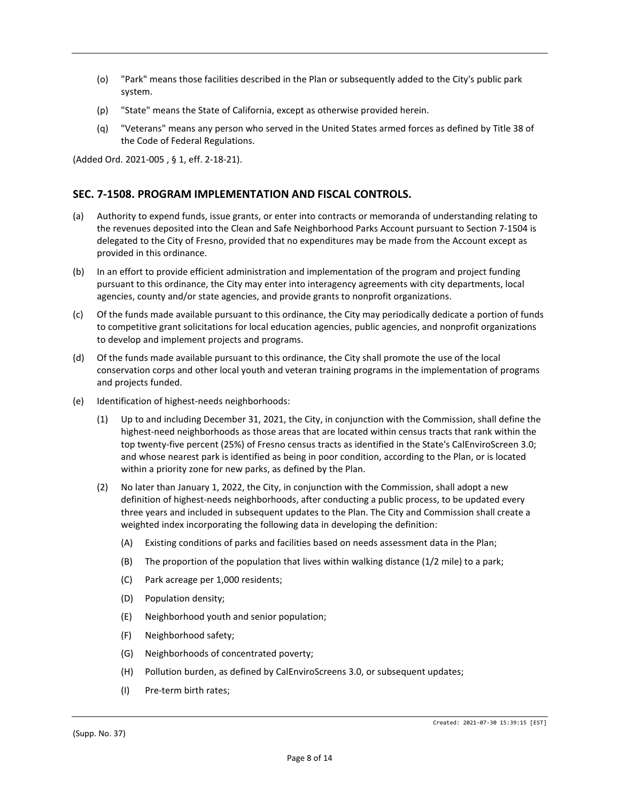- (o) "Park" means those facilities described in the Plan or subsequently added to the City's public park system.
- (p) "State" means the State of California, except as otherwise provided herein.
- (q) "Veterans" means any person who served in the United States armed forces as defined by Title 38 of the Code of Federal Regulations.

(Added Ord. 2021-005 , § 1, eff. 2-18-21).

#### **SEC. 7-1508. PROGRAM IMPLEMENTATION AND FISCAL CONTROLS.**

- (a) Authority to expend funds, issue grants, or enter into contracts or memoranda of understanding relating to the revenues deposited into the Clean and Safe Neighborhood Parks Account pursuant to Section 7-1504 is delegated to the City of Fresno, provided that no expenditures may be made from the Account except as provided in this ordinance.
- (b) In an effort to provide efficient administration and implementation of the program and project funding pursuant to this ordinance, the City may enter into interagency agreements with city departments, local agencies, county and/or state agencies, and provide grants to nonprofit organizations.
- (c) Of the funds made available pursuant to this ordinance, the City may periodically dedicate a portion of funds to competitive grant solicitations for local education agencies, public agencies, and nonprofit organizations to develop and implement projects and programs.
- (d) Of the funds made available pursuant to this ordinance, the City shall promote the use of the local conservation corps and other local youth and veteran training programs in the implementation of programs and projects funded.
- (e) Identification of highest-needs neighborhoods:
	- (1) Up to and including December 31, 2021, the City, in conjunction with the Commission, shall define the highest-need neighborhoods as those areas that are located within census tracts that rank within the top twenty-five percent (25%) of Fresno census tracts as identified in the State's CalEnviroScreen 3.0; and whose nearest park is identified as being in poor condition, according to the Plan, or is located within a priority zone for new parks, as defined by the Plan.
	- (2) No later than January 1, 2022, the City, in conjunction with the Commission, shall adopt a new definition of highest-needs neighborhoods, after conducting a public process, to be updated every three years and included in subsequent updates to the Plan. The City and Commission shall create a weighted index incorporating the following data in developing the definition:
		- (A) Existing conditions of parks and facilities based on needs assessment data in the Plan;
		- (B) The proportion of the population that lives within walking distance (1/2 mile) to a park;
		- (C) Park acreage per 1,000 residents;
		- (D) Population density;
		- (E) Neighborhood youth and senior population;
		- (F) Neighborhood safety;
		- (G) Neighborhoods of concentrated poverty;
		- (H) Pollution burden, as defined by CalEnviroScreens 3.0, or subsequent updates;
		- (I) Pre-term birth rates;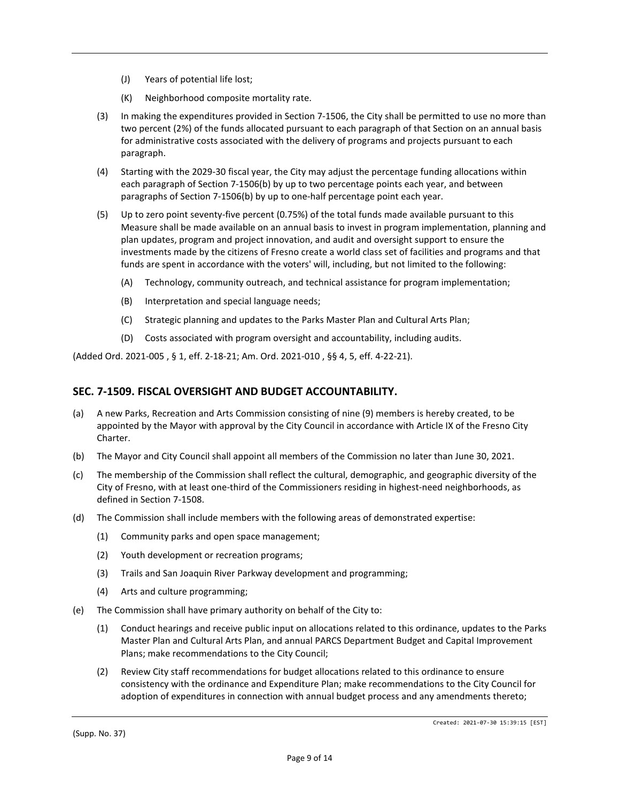- (J) Years of potential life lost;
- (K) Neighborhood composite mortality rate.
- (3) In making the expenditures provided in Section 7-1506, the City shall be permitted to use no more than two percent (2%) of the funds allocated pursuant to each paragraph of that Section on an annual basis for administrative costs associated with the delivery of programs and projects pursuant to each paragraph.
- (4) Starting with the 2029-30 fiscal year, the City may adjust the percentage funding allocations within each paragraph of Section 7-1506(b) by up to two percentage points each year, and between paragraphs of Section 7-1506(b) by up to one-half percentage point each year.
- (5) Up to zero point seventy-five percent (0.75%) of the total funds made available pursuant to this Measure shall be made available on an annual basis to invest in program implementation, planning and plan updates, program and project innovation, and audit and oversight support to ensure the investments made by the citizens of Fresno create a world class set of facilities and programs and that funds are spent in accordance with the voters' will, including, but not limited to the following:
	- (A) Technology, community outreach, and technical assistance for program implementation;
	- (B) Interpretation and special language needs;
	- (C) Strategic planning and updates to the Parks Master Plan and Cultural Arts Plan;
	- (D) Costs associated with program oversight and accountability, including audits.

(Added Ord. 2021-005 , § 1, eff. 2-18-21; Am. Ord. 2021-010 , §§ 4, 5, eff. 4-22-21).

#### **SEC. 7-1509. FISCAL OVERSIGHT AND BUDGET ACCOUNTABILITY.**

- (a) A new Parks, Recreation and Arts Commission consisting of nine (9) members is hereby created, to be appointed by the Mayor with approval by the City Council in accordance with Article IX of the Fresno City Charter.
- (b) The Mayor and City Council shall appoint all members of the Commission no later than June 30, 2021.
- (c) The membership of the Commission shall reflect the cultural, demographic, and geographic diversity of the City of Fresno, with at least one-third of the Commissioners residing in highest-need neighborhoods, as defined in Section 7-1508.
- (d) The Commission shall include members with the following areas of demonstrated expertise:
	- (1) Community parks and open space management;
	- (2) Youth development or recreation programs;
	- (3) Trails and San Joaquin River Parkway development and programming;
	- (4) Arts and culture programming;
- (e) The Commission shall have primary authority on behalf of the City to:
	- (1) Conduct hearings and receive public input on allocations related to this ordinance, updates to the Parks Master Plan and Cultural Arts Plan, and annual PARCS Department Budget and Capital Improvement Plans; make recommendations to the City Council;
	- (2) Review City staff recommendations for budget allocations related to this ordinance to ensure consistency with the ordinance and Expenditure Plan; make recommendations to the City Council for adoption of expenditures in connection with annual budget process and any amendments thereto;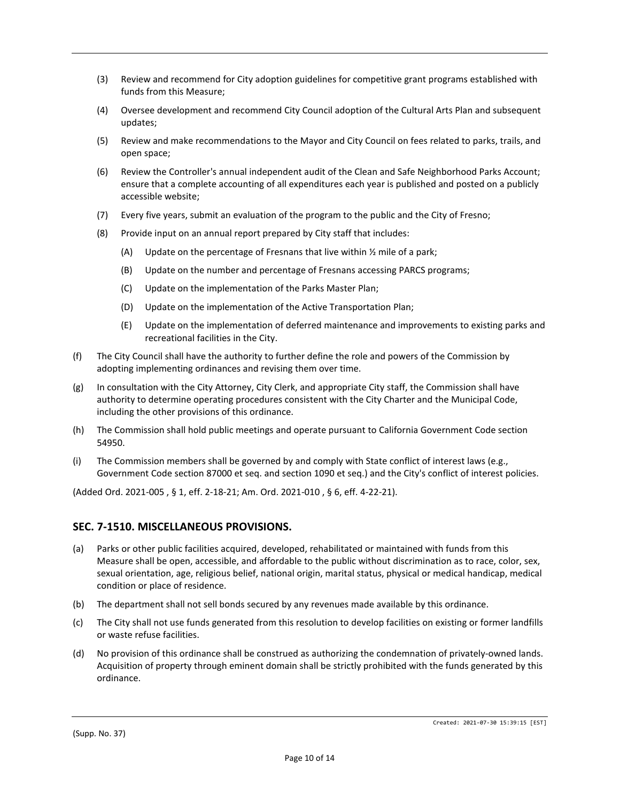- (3) Review and recommend for City adoption guidelines for competitive grant programs established with funds from this Measure;
- (4) Oversee development and recommend City Council adoption of the Cultural Arts Plan and subsequent updates;
- (5) Review and make recommendations to the Mayor and City Council on fees related to parks, trails, and open space;
- (6) Review the Controller's annual independent audit of the Clean and Safe Neighborhood Parks Account; ensure that a complete accounting of all expenditures each year is published and posted on a publicly accessible website;
- (7) Every five years, submit an evaluation of the program to the public and the City of Fresno;
- (8) Provide input on an annual report prepared by City staff that includes:
	- (A) Update on the percentage of Fresnans that live within ½ mile of a park;
	- (B) Update on the number and percentage of Fresnans accessing PARCS programs;
	- (C) Update on the implementation of the Parks Master Plan;
	- (D) Update on the implementation of the Active Transportation Plan;
	- (E) Update on the implementation of deferred maintenance and improvements to existing parks and recreational facilities in the City.
- (f) The City Council shall have the authority to further define the role and powers of the Commission by adopting implementing ordinances and revising them over time.
- (g) In consultation with the City Attorney, City Clerk, and appropriate City staff, the Commission shall have authority to determine operating procedures consistent with the City Charter and the Municipal Code, including the other provisions of this ordinance.
- (h) The Commission shall hold public meetings and operate pursuant to California Government Code section 54950.
- (i) The Commission members shall be governed by and comply with State conflict of interest laws (e.g., Government Code section 87000 et seq. and section 1090 et seq.) and the City's conflict of interest policies.

(Added Ord. 2021-005 , § 1, eff. 2-18-21; Am. Ord. 2021-010 , § 6, eff. 4-22-21).

#### **SEC. 7-1510. MISCELLANEOUS PROVISIONS.**

- (a) Parks or other public facilities acquired, developed, rehabilitated or maintained with funds from this Measure shall be open, accessible, and affordable to the public without discrimination as to race, color, sex, sexual orientation, age, religious belief, national origin, marital status, physical or medical handicap, medical condition or place of residence.
- (b) The department shall not sell bonds secured by any revenues made available by this ordinance.
- (c) The City shall not use funds generated from this resolution to develop facilities on existing or former landfills or waste refuse facilities.
- (d) No provision of this ordinance shall be construed as authorizing the condemnation of privately-owned lands. Acquisition of property through eminent domain shall be strictly prohibited with the funds generated by this ordinance.

(Supp. No. 37)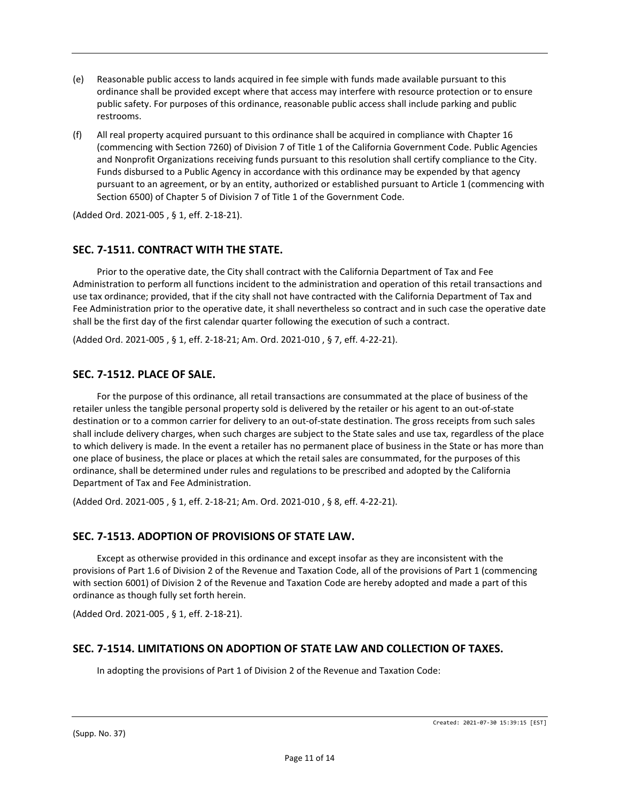- (e) Reasonable public access to lands acquired in fee simple with funds made available pursuant to this ordinance shall be provided except where that access may interfere with resource protection or to ensure public safety. For purposes of this ordinance, reasonable public access shall include parking and public restrooms.
- (f) All real property acquired pursuant to this ordinance shall be acquired in compliance with Chapter 16 (commencing with Section 7260) of Division 7 of Title 1 of the California Government Code. Public Agencies and Nonprofit Organizations receiving funds pursuant to this resolution shall certify compliance to the City. Funds disbursed to a Public Agency in accordance with this ordinance may be expended by that agency pursuant to an agreement, or by an entity, authorized or established pursuant to Article 1 (commencing with Section 6500) of Chapter 5 of Division 7 of Title 1 of the Government Code.

(Added Ord. 2021-005 , § 1, eff. 2-18-21).

### **SEC. 7-1511. CONTRACT WITH THE STATE.**

Prior to the operative date, the City shall contract with the California Department of Tax and Fee Administration to perform all functions incident to the administration and operation of this retail transactions and use tax ordinance; provided, that if the city shall not have contracted with the California Department of Tax and Fee Administration prior to the operative date, it shall nevertheless so contract and in such case the operative date shall be the first day of the first calendar quarter following the execution of such a contract.

(Added Ord. 2021-005 , § 1, eff. 2-18-21; Am. Ord. 2021-010 , § 7, eff. 4-22-21).

#### **SEC. 7-1512. PLACE OF SALE.**

For the purpose of this ordinance, all retail transactions are consummated at the place of business of the retailer unless the tangible personal property sold is delivered by the retailer or his agent to an out-of-state destination or to a common carrier for delivery to an out-of-state destination. The gross receipts from such sales shall include delivery charges, when such charges are subject to the State sales and use tax, regardless of the place to which delivery is made. In the event a retailer has no permanent place of business in the State or has more than one place of business, the place or places at which the retail sales are consummated, for the purposes of this ordinance, shall be determined under rules and regulations to be prescribed and adopted by the California Department of Tax and Fee Administration.

(Added Ord. 2021-005 , § 1, eff. 2-18-21; Am. Ord. 2021-010 , § 8, eff. 4-22-21).

#### **SEC. 7-1513. ADOPTION OF PROVISIONS OF STATE LAW.**

Except as otherwise provided in this ordinance and except insofar as they are inconsistent with the provisions of Part 1.6 of Division 2 of the Revenue and Taxation Code, all of the provisions of Part 1 (commencing with section 6001) of Division 2 of the Revenue and Taxation Code are hereby adopted and made a part of this ordinance as though fully set forth herein.

(Added Ord. 2021-005 , § 1, eff. 2-18-21).

#### **SEC. 7-1514. LIMITATIONS ON ADOPTION OF STATE LAW AND COLLECTION OF TAXES.**

In adopting the provisions of Part 1 of Division 2 of the Revenue and Taxation Code: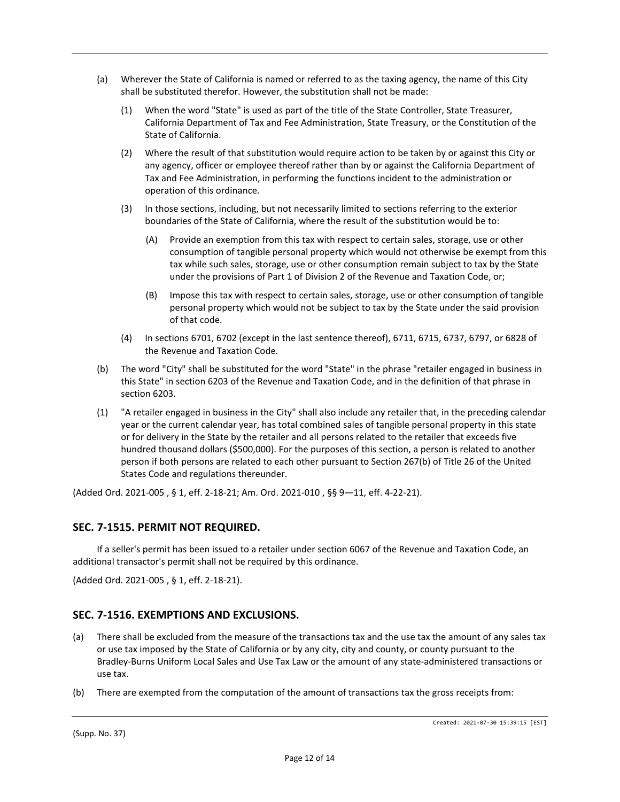- (a) Wherever the State of California is named or referred to as the taxing agency, the name of this City shall be substituted therefor. However, the substitution shall not be made:
	- (1) When the word "State" is used as part of the title of the State Controller, State Treasurer, California Department of Tax and Fee Administration, State Treasury, or the Constitution of the State of California.
	- (2) Where the result of that substitution would require action to be taken by or against this City or any agency, officer or employee thereof rather than by or against the California Department of Tax and Fee Administration, in performing the functions incident to the administration or operation of this ordinance.
	- (3) In those sections, including, but not necessarily limited to sections referring to the exterior boundaries of the State of California, where the result of the substitution would be to:
		- (A) Provide an exemption from this tax with respect to certain sales, storage, use or other consumption of tangible personal property which would not otherwise be exempt from this tax while such sales, storage, use or other consumption remain subject to tax by the State under the provisions of Part 1 of Division 2 of the Revenue and Taxation Code, or;
		- (B) Impose this tax with respect to certain sales, storage, use or other consumption of tangible personal property which would not be subject to tax by the State under the said provision of that code.
	- (4) In sections 6701, 6702 (except in the last sentence thereof), 6711, 6715, 6737, 6797, or 6828 of the Revenue and Taxation Code.
- (b) The word "City" shall be substituted for the word "State" in the phrase "retailer engaged in business in this State" in section 6203 of the Revenue and Taxation Code, and in the definition of that phrase in section 6203.
- (1) "A retailer engaged in business in the City" shall also include any retailer that, in the preceding calendar year or the current calendar year, has total combined sales of tangible personal property in this state or for delivery in the State by the retailer and all persons related to the retailer that exceeds five hundred thousand dollars (\$500,000). For the purposes of this section, a person is related to another person if both persons are related to each other pursuant to Section 267(b) of Title 26 of the United States Code and regulations thereunder.

(Added Ord. 2021-005 , § 1, eff. 2-18-21; Am. Ord. 2021-010 , §§ 9—11, eff. 4-22-21).

#### **SEC. 7-1515. PERMIT NOT REQUIRED.**

If a seller's permit has been issued to a retailer under section 6067 of the Revenue and Taxation Code, an additional transactor's permit shall not be required by this ordinance.

(Added Ord. 2021-005 , § 1, eff. 2-18-21).

### **SEC. 7-1516. EXEMPTIONS AND EXCLUSIONS.**

- (a) There shall be excluded from the measure of the transactions tax and the use tax the amount of any sales tax or use tax imposed by the State of California or by any city, city and county, or county pursuant to the Bradley-Burns Uniform Local Sales and Use Tax Law or the amount of any state-administered transactions or use tax.
- (b) There are exempted from the computation of the amount of transactions tax the gross receipts from: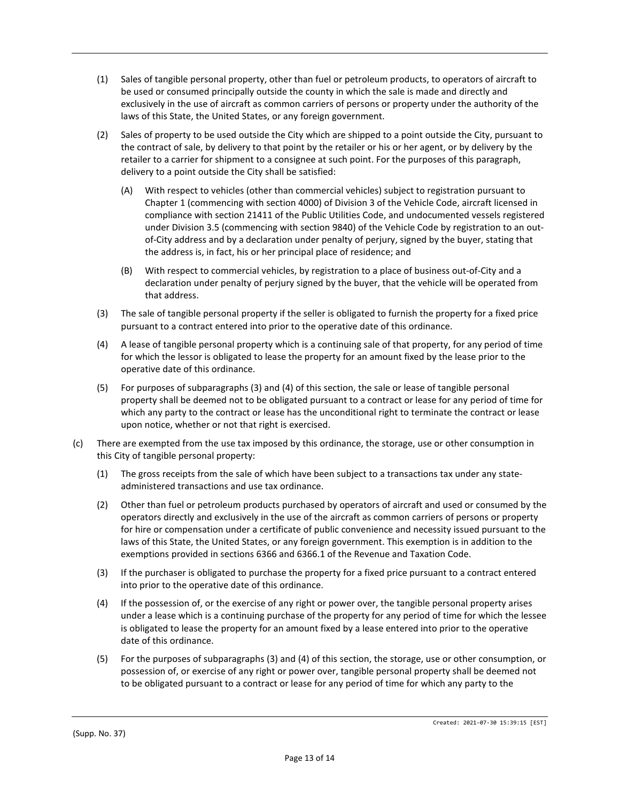- (1) Sales of tangible personal property, other than fuel or petroleum products, to operators of aircraft to be used or consumed principally outside the county in which the sale is made and directly and exclusively in the use of aircraft as common carriers of persons or property under the authority of the laws of this State, the United States, or any foreign government.
- (2) Sales of property to be used outside the City which are shipped to a point outside the City, pursuant to the contract of sale, by delivery to that point by the retailer or his or her agent, or by delivery by the retailer to a carrier for shipment to a consignee at such point. For the purposes of this paragraph, delivery to a point outside the City shall be satisfied:
	- (A) With respect to vehicles (other than commercial vehicles) subject to registration pursuant to Chapter 1 (commencing with section 4000) of Division 3 of the Vehicle Code, aircraft licensed in compliance with section 21411 of the Public Utilities Code, and undocumented vessels registered under Division 3.5 (commencing with section 9840) of the Vehicle Code by registration to an outof-City address and by a declaration under penalty of perjury, signed by the buyer, stating that the address is, in fact, his or her principal place of residence; and
	- (B) With respect to commercial vehicles, by registration to a place of business out-of-City and a declaration under penalty of perjury signed by the buyer, that the vehicle will be operated from that address.
- (3) The sale of tangible personal property if the seller is obligated to furnish the property for a fixed price pursuant to a contract entered into prior to the operative date of this ordinance.
- (4) A lease of tangible personal property which is a continuing sale of that property, for any period of time for which the lessor is obligated to lease the property for an amount fixed by the lease prior to the operative date of this ordinance.
- (5) For purposes of subparagraphs (3) and (4) of this section, the sale or lease of tangible personal property shall be deemed not to be obligated pursuant to a contract or lease for any period of time for which any party to the contract or lease has the unconditional right to terminate the contract or lease upon notice, whether or not that right is exercised.
- (c) There are exempted from the use tax imposed by this ordinance, the storage, use or other consumption in this City of tangible personal property:
	- (1) The gross receipts from the sale of which have been subject to a transactions tax under any stateadministered transactions and use tax ordinance.
	- (2) Other than fuel or petroleum products purchased by operators of aircraft and used or consumed by the operators directly and exclusively in the use of the aircraft as common carriers of persons or property for hire or compensation under a certificate of public convenience and necessity issued pursuant to the laws of this State, the United States, or any foreign government. This exemption is in addition to the exemptions provided in sections 6366 and 6366.1 of the Revenue and Taxation Code.
	- (3) If the purchaser is obligated to purchase the property for a fixed price pursuant to a contract entered into prior to the operative date of this ordinance.
	- (4) If the possession of, or the exercise of any right or power over, the tangible personal property arises under a lease which is a continuing purchase of the property for any period of time for which the lessee is obligated to lease the property for an amount fixed by a lease entered into prior to the operative date of this ordinance.
	- (5) For the purposes of subparagraphs (3) and (4) of this section, the storage, use or other consumption, or possession of, or exercise of any right or power over, tangible personal property shall be deemed not to be obligated pursuant to a contract or lease for any period of time for which any party to the